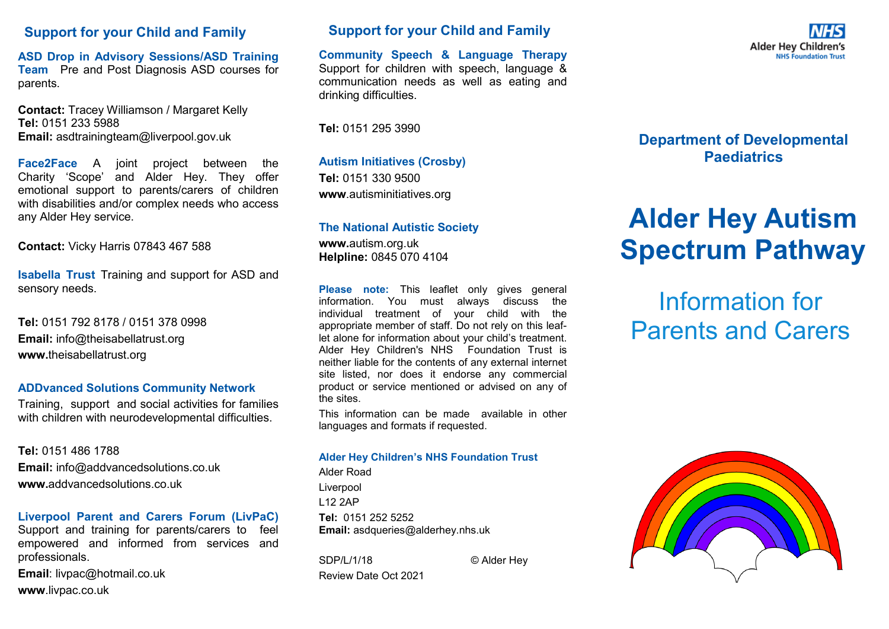### **Support for your Child and Family**

**ASD Drop in Advisory Sessions/ASD Training Team** Pre and Post Diagnosis ASD courses for parents.

**Contact:** Tracey Williamson / Margaret Kelly **Tel:** 0151 233 5988 **Email:** asdtrainingteam@liverpool.gov.uk

**[Face2Face](http://intranet/SitePages/Face%202%20Face.aspx)** A joint project between the Charity 'Scope' and Alder Hey. They offer emotional support to parents/carers of children with disabilities and/or complex needs who access any Alder Hey service.

**Contact:** Vicky Harris 07843 467 588

**Isabella Trust** Training and support for ASD and sensory needs.

**Tel:** 0151 792 8178 / 0151 378 0998 **Email:** info@theisabellatrust.org **www.**theisabellatrust.org

### **ADDvanced Solutions Community Network**

Training, support and social activities for families with children with neurodevelopmental difficulties.

**Tel:** 0151 486 1788

**Email:** info@addvancedsolutions.co.uk **www.**addvancedsolutions.co.uk

### **Liverpool Parent and Carers Forum (LivPaC)**

Support and training for parents/carers to feel empowered and informed from services and professionals.

**Email**: livpac@hotmail.co.uk **www**.livpac.co.uk

## **Support for your Child and Family**

**Community Speech & Language Therapy**  Support for children with speech, language & communication needs as well as eating and drinking difficulties.

**Tel:** 0151 295 3990

**Autism Initiatives (Crosby) Tel:** 0151 330 9500 **www**.autisminitiatives.org

### **The National Autistic Society**

**www.**autism.org.uk **Helpline:** 0845 070 4104

**Please note:** This leaflet only gives general information. You must always discuss the individual treatment of your child with the appropriate member of staff. Do not rely on this leaflet alone for information about your child's treatment. Alder Hey Children's NHS Foundation Trust is neither liable for the contents of any external internet site listed, nor does it endorse any commercial product or service mentioned or advised on any of the sites.

This information can be made available in other languages and formats if requested.

#### **Alder Hey Children's NHS Foundation Trust**

Alder Road Liverpool L12 2AP **Tel:** 0151 252 5252 **Email:** asdqueries@alderhey.nhs.uk

SDP/L/1/18 © Alder Hey Review Date Oct 2021

**Alder Hev Children's NHS Foundation** 

## **Department of Developmental Paediatrics**

# **Alder Hey Autism Spectrum Pathway**

# Information for Parents and Carers